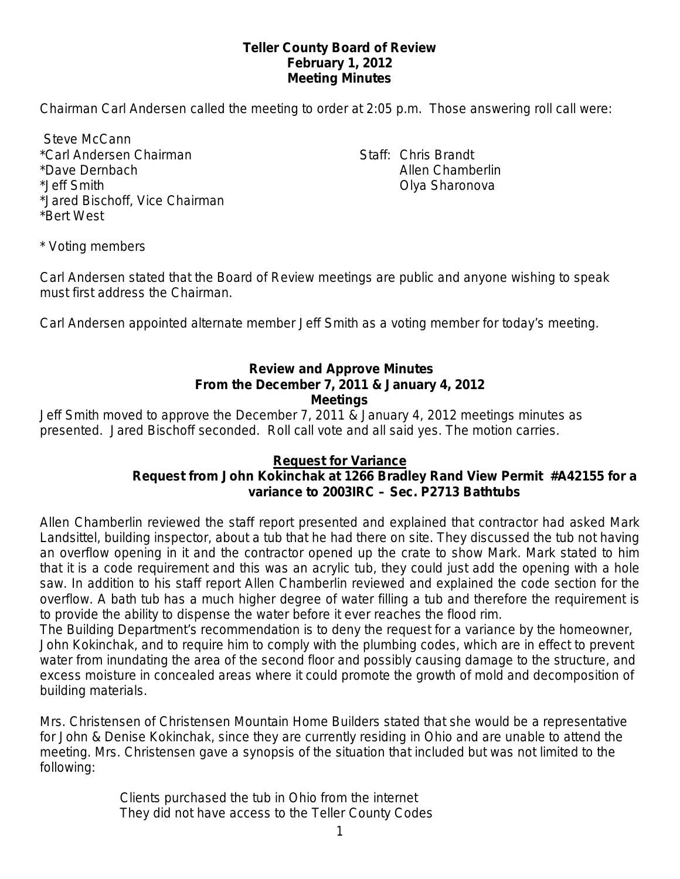## **Teller County Board of Review February 1, 2012 Meeting Minutes**

Chairman Carl Andersen called the meeting to order at 2:05 p.m. Those answering roll call were:

Steve McCann \*Carl Andersen Chairman Staff: Chris Brandt \*Dave Dernbach Allen Chamberlin \*Jeff Smith Olya Sharonova \*Jared Bischoff, Vice Chairman \*Bert West

\* Voting members

Carl Andersen stated that the Board of Review meetings are public and anyone wishing to speak must first address the Chairman.

Carl Andersen appointed alternate member Jeff Smith as a voting member for today's meeting.

### **Review and Approve Minutes From the December 7, 2011 & January 4, 2012 Meetings**

Jeff Smith moved to approve the December 7, 2011 & January 4, 2012 meetings minutes as presented. Jared Bischoff seconded.Roll call vote and all said yes. The motion carries.

## **Request for Variance**

# **Request from John Kokinchak at 1266 Bradley Rand View Permit #A42155 for a variance to 2003IRC – Sec. P2713 Bathtubs**

Allen Chamberlin reviewed the staff report presented and explained that contractor had asked Mark Landsittel, building inspector, about a tub that he had there on site. They discussed the tub not having an overflow opening in it and the contractor opened up the crate to show Mark. Mark stated to him that it is a code requirement and this was an acrylic tub, they could just add the opening with a hole saw. In addition to his staff report Allen Chamberlin reviewed and explained the code section for the overflow. A bath tub has a much higher degree of water filling a tub and therefore the requirement is to provide the ability to dispense the water before it ever reaches the flood rim.

The Building Department's recommendation is to deny the request for a variance by the homeowner, John Kokinchak, and to require him to comply with the plumbing codes, which are in effect to prevent water from inundating the area of the second floor and possibly causing damage to the structure, and excess moisture in concealed areas where it could promote the growth of mold and decomposition of building materials.

Mrs. Christensen of Christensen Mountain Home Builders stated that she would be a representative for John & Denise Kokinchak, since they are currently residing in Ohio and are unable to attend the meeting. Mrs. Christensen gave a synopsis of the situation that included but was not limited to the following:

> Clients purchased the tub in Ohio from the internet They did not have access to the Teller County Codes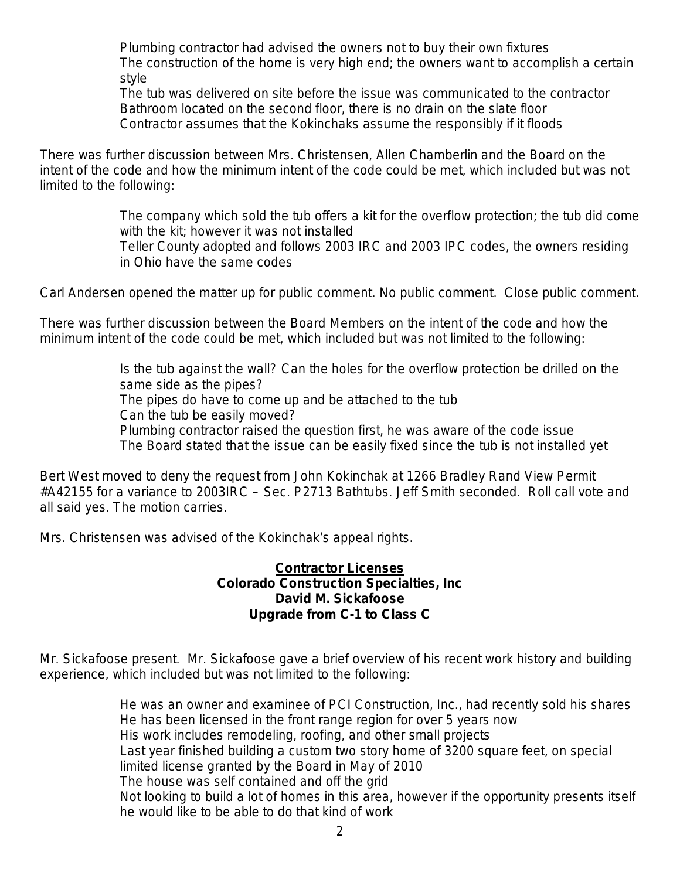Plumbing contractor had advised the owners not to buy their own fixtures The construction of the home is very high end; the owners want to accomplish a certain style

The tub was delivered on site before the issue was communicated to the contractor Bathroom located on the second floor, there is no drain on the slate floor Contractor assumes that the Kokinchaks assume the responsibly if it floods

There was further discussion between Mrs. Christensen, Allen Chamberlin and the Board on the intent of the code and how the minimum intent of the code could be met, which included but was not limited to the following:

> The company which sold the tub offers a kit for the overflow protection; the tub did come with the kit; however it was not installed

Teller County adopted and follows 2003 IRC and 2003 IPC codes, the owners residing in Ohio have the same codes

Carl Andersen opened the matter up for public comment. No public comment. Close public comment.

There was further discussion between the Board Members on the intent of the code and how the minimum intent of the code could be met, which included but was not limited to the following:

> Is the tub against the wall? Can the holes for the overflow protection be drilled on the same side as the pipes? The pipes do have to come up and be attached to the tub Can the tub be easily moved? Plumbing contractor raised the question first, he was aware of the code issue The Board stated that the issue can be easily fixed since the tub is not installed yet

Bert West moved to deny the request from John Kokinchak at 1266 Bradley Rand View Permit #A42155 for a variance to 2003IRC – Sec. P2713 Bathtubs. Jeff Smith seconded.Roll call vote and all said yes. The motion carries.

Mrs. Christensen was advised of the Kokinchak's appeal rights.

### **Contractor Licenses Colorado Construction Specialties, Inc David M. Sickafoose Upgrade from C-1 to Class C**

Mr. Sickafoose present. Mr. Sickafoose gave a brief overview of his recent work history and building experience, which included but was not limited to the following:

> He was an owner and examinee of PCI Construction, Inc., had recently sold his shares He has been licensed in the front range region for over 5 years now His work includes remodeling, roofing, and other small projects Last year finished building a custom two story home of 3200 square feet, on special limited license granted by the Board in May of 2010 The house was self contained and off the grid Not looking to build a lot of homes in this area, however if the opportunity presents itself he would like to be able to do that kind of work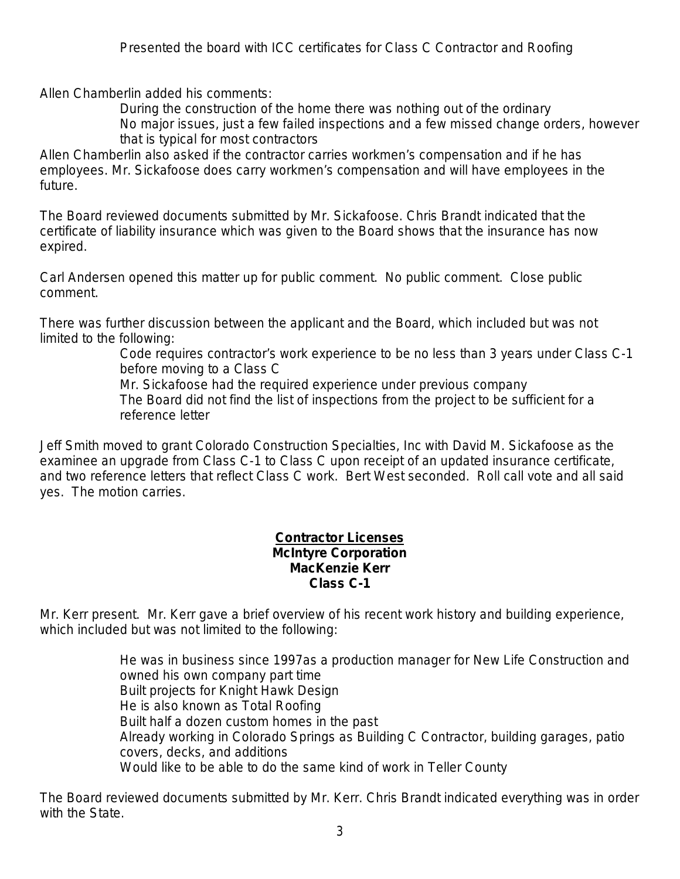Allen Chamberlin added his comments:

During the construction of the home there was nothing out of the ordinary No major issues, just a few failed inspections and a few missed change orders, however that is typical for most contractors

Allen Chamberlin also asked if the contractor carries workmen's compensation and if he has employees. Mr. Sickafoose does carry workmen's compensation and will have employees in the future.

The Board reviewed documents submitted by Mr. Sickafoose. Chris Brandt indicated that the certificate of liability insurance which was given to the Board shows that the insurance has now expired.

Carl Andersen opened this matter up for public comment. No public comment. Close public comment.

There was further discussion between the applicant and the Board, which included but was not limited to the following:

> Code requires contractor's work experience to be no less than 3 years under Class C-1 before moving to a Class C

Mr. Sickafoose had the required experience under previous company The Board did not find the list of inspections from the project to be sufficient for a reference letter

Jeff Smith moved to grant Colorado Construction Specialties, Inc with David M. Sickafoose as the examinee an upgrade from Class C-1 to Class C upon receipt of an updated insurance certificate, and two reference letters that reflect Class C work. Bert West seconded. Roll call vote and all said yes. The motion carries.

#### **Contractor Licenses McIntyre Corporation MacKenzie Kerr Class C-1**

Mr. Kerr present. Mr. Kerr gave a brief overview of his recent work history and building experience, which included but was not limited to the following:

> He was in business since 1997as a production manager for New Life Construction and owned his own company part time Built projects for Knight Hawk Design He is also known as Total Roofing Built half a dozen custom homes in the past Already working in Colorado Springs as Building C Contractor, building garages, patio covers, decks, and additions Would like to be able to do the same kind of work in Teller County

The Board reviewed documents submitted by Mr. Kerr. Chris Brandt indicated everything was in order with the State.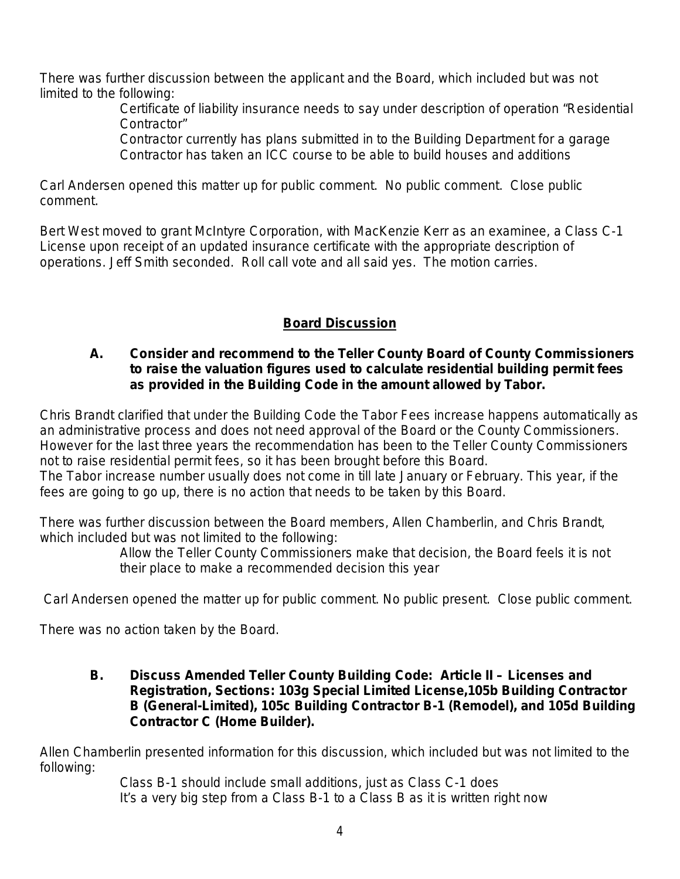There was further discussion between the applicant and the Board, which included but was not limited to the following:

Certificate of liability insurance needs to say under description of operation "Residential Contractor"

Contractor currently has plans submitted in to the Building Department for a garage Contractor has taken an ICC course to be able to build houses and additions

Carl Andersen opened this matter up for public comment. No public comment. Close public comment.

Bert West moved to grant McIntyre Corporation, with MacKenzie Kerr as an examinee, a Class C-1 License upon receipt of an updated insurance certificate with the appropriate description of operations. Jeff Smith seconded. Roll call vote and all said yes. The motion carries.

# **Board Discussion**

# **A. Consider and recommend to the Teller County Board of County Commissioners to raise the valuation figures used to calculate residential building permit fees as provided in the Building Code in the amount allowed by Tabor.**

Chris Brandt clarified that under the Building Code the Tabor Fees increase happens automatically as an administrative process and does not need approval of the Board or the County Commissioners. However for the last three years the recommendation has been to the Teller County Commissioners not to raise residential permit fees, so it has been brought before this Board. The Tabor increase number usually does not come in till late January or February. This year, if the fees are going to go up, there is no action that needs to be taken by this Board.

There was further discussion between the Board members, Allen Chamberlin, and Chris Brandt, which included but was not limited to the following:

> Allow the Teller County Commissioners make that decision, the Board feels it is not their place to make a recommended decision this year

Carl Andersen opened the matter up for public comment. No public present. Close public comment.

There was no action taken by the Board.

**B. Discuss Amended Teller County Building Code: Article II – Licenses and Registration, Sections: 103g Special Limited License,105b Building Contractor B (General-Limited), 105c Building Contractor B-1 (Remodel), and 105d Building Contractor C (Home Builder).** 

Allen Chamberlin presented information for this discussion, which included but was not limited to the following:

Class B-1 should include small additions, just as Class C-1 does It's a very big step from a Class B-1 to a Class B as it is written right now